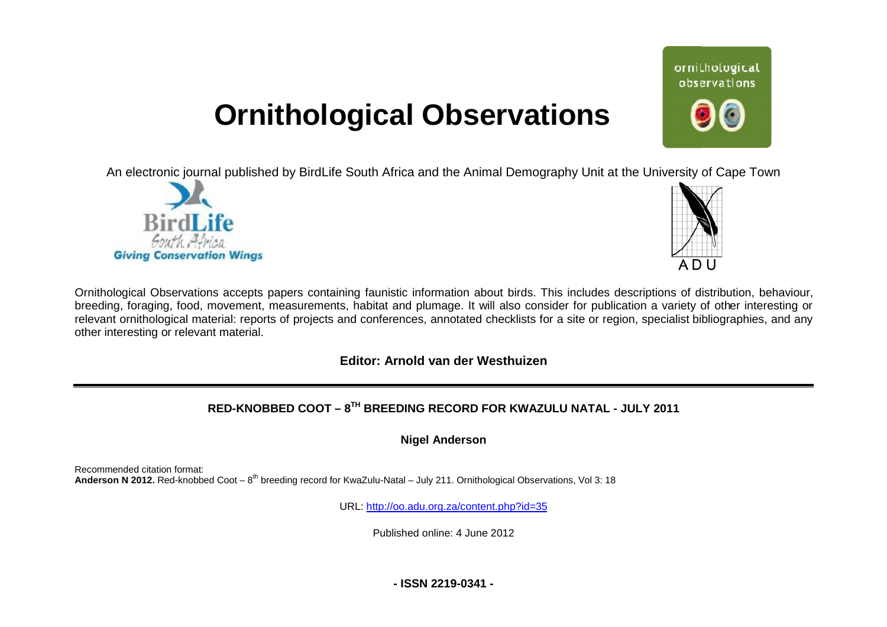# **Ornithological Observations**

An electronic journal published by BirdLife South Africa and the Animal Demography Unit at the University of Cape Town





ornithological observations

Ornithological Observations accepts papers containing faunistic information about birds. This includes descriptions of distribution, behaviour, breeding, foraging, food, movement, measurements, habitat and plumage. It will also consider for publication a variety of other interesting or relevant ornithological material: reports of projects and conferences, annotated checklists for a site or region, specialist bibliographies, and any other interesting or relevant material.

### **Editor: Arnold van der Westhuizen**

# **RED-KNOBBED COOT – 8TH BREEDING RECORD FOR KWAZULU NATAL - JULY 2011**

**Nigel Anderson** 

Recommended citation format: Anderson N 2012. Red-knobbed Coot – 8<sup>th</sup> breeding record for KwaZulu-Natal – July 211. Ornithological Observations, Vol 3: 18

URL: <http://oo.adu.org.za/content.php?id=35>

Published online: 4 June 2012